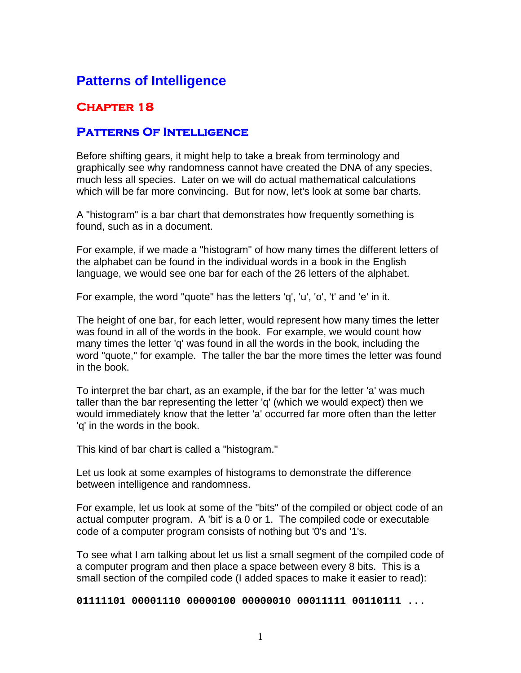# **Patterns of Intelligence**

## **Chapter 18**

## **Patterns Of Intelligence**

Before shifting gears, it might help to take a break from terminology and graphically see why randomness cannot have created the DNA of any species, much less all species. Later on we will do actual mathematical calculations which will be far more convincing. But for now, let's look at some bar charts.

A "histogram" is a bar chart that demonstrates how frequently something is found, such as in a document.

For example, if we made a "histogram" of how many times the different letters of the alphabet can be found in the individual words in a book in the English language, we would see one bar for each of the 26 letters of the alphabet.

For example, the word "quote" has the letters 'q', 'u', 'o', 't' and 'e' in it.

The height of one bar, for each letter, would represent how many times the letter was found in all of the words in the book. For example, we would count how many times the letter 'q' was found in all the words in the book, including the word "quote," for example. The taller the bar the more times the letter was found in the book.

To interpret the bar chart, as an example, if the bar for the letter 'a' was much taller than the bar representing the letter 'q' (which we would expect) then we would immediately know that the letter 'a' occurred far more often than the letter 'q' in the words in the book.

This kind of bar chart is called a "histogram."

Let us look at some examples of histograms to demonstrate the difference between intelligence and randomness.

For example, let us look at some of the "bits" of the compiled or object code of an actual computer program. A 'bit' is a 0 or 1. The compiled code or executable code of a computer program consists of nothing but '0's and '1's.

To see what I am talking about let us list a small segment of the compiled code of a computer program and then place a space between every 8 bits. This is a small section of the compiled code (I added spaces to make it easier to read):

**01111101 00001110 00000100 00000010 00011111 00110111 ...**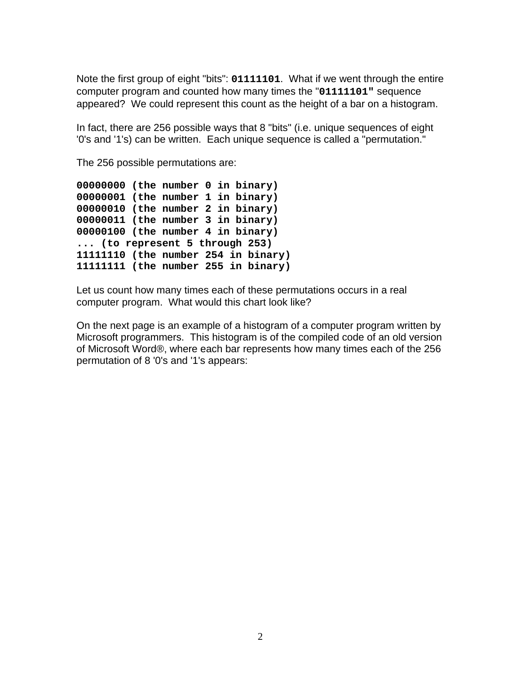Note the first group of eight "bits": **01111101**. What if we went through the entire computer program and counted how many times the "**01111101"** sequence appeared? We could represent this count as the height of a bar on a histogram.

In fact, there are 256 possible ways that 8 "bits" (i.e. unique sequences of eight '0's and '1's) can be written. Each unique sequence is called a "permutation."

The 256 possible permutations are:

```
00000000 (the number 0 in binary) 
00000001 (the number 1 in binary) 
00000010 (the number 2 in binary) 
00000011 (the number 3 in binary) 
00000100 (the number 4 in binary) 
... (to represent 5 through 253) 
11111110 (the number 254 in binary) 
11111111 (the number 255 in binary)
```
Let us count how many times each of these permutations occurs in a real computer program. What would this chart look like?

On the next page is an example of a histogram of a computer program written by Microsoft programmers. This histogram is of the compiled code of an old version of Microsoft Word®, where each bar represents how many times each of the 256 permutation of 8 '0's and '1's appears: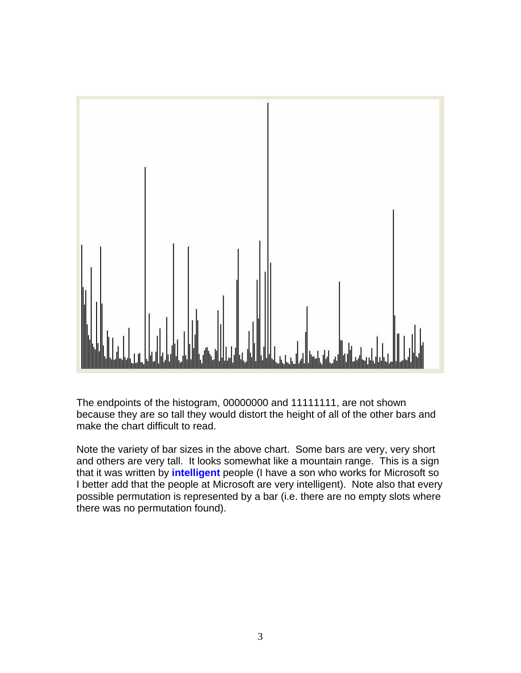

The endpoints of the histogram, 00000000 and 11111111, are not shown because they are so tall they would distort the height of all of the other bars and make the chart difficult to read.

Note the variety of bar sizes in the above chart. Some bars are very, very short and others are very tall. It looks somewhat like a mountain range. This is a sign that it was written by **intelligent** people (I have a son who works for Microsoft so I better add that the people at Microsoft are very intelligent). Note also that every possible permutation is represented by a bar (i.e. there are no empty slots where there was no permutation found).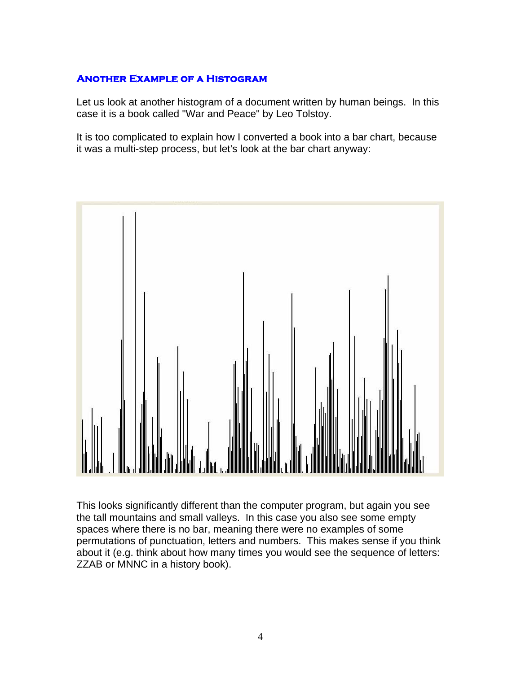## **Another Example of a Histogram**

Let us look at another histogram of a document written by human beings. In this case it is a book called "War and Peace" by Leo Tolstoy.

It is too complicated to explain how I converted a book into a bar chart, because it was a multi-step process, but let's look at the bar chart anyway:



This looks significantly different than the computer program, but again you see the tall mountains and small valleys. In this case you also see some empty spaces where there is no bar, meaning there were no examples of some permutations of punctuation, letters and numbers. This makes sense if you think about it (e.g. think about how many times you would see the sequence of letters: ZZAB or MNNC in a history book).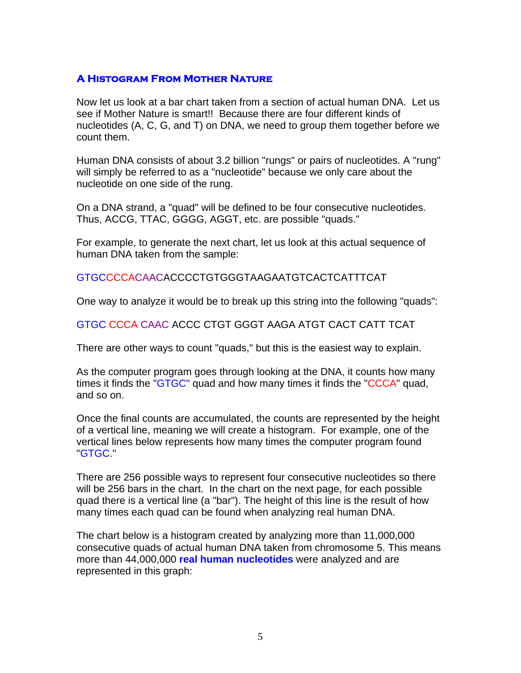#### **A Histogram From Mother Nature**

Now let us look at a bar chart taken from a section of actual human DNA. Let us see if Mother Nature is smart!! Because there are four different kinds of nucleotides (A, C, G, and T) on DNA, we need to group them together before we count them.

Human DNA consists of about 3.2 billion "rungs" or pairs of nucleotides. A "rung" will simply be referred to as a "nucleotide" because we only care about the nucleotide on one side of the rung.

On a DNA strand, a "quad" will be defined to be four consecutive nucleotides. Thus, ACCG, TTAC, GGGG, AGGT, etc. are possible "quads."

For example, to generate the next chart, let us look at this actual sequence of human DNA taken from the sample:

GTGCCCCACAACACCCCTGTGGGTAAGAATGTCACTCATTTCAT

One way to analyze it would be to break up this string into the following "quads":

#### GTGC CCCA CAAC ACCC CTGT GGGT AAGA ATGT CACT CATT TCAT

There are other ways to count "quads," but this is the easiest way to explain.

As the computer program goes through looking at the DNA, it counts how many times it finds the "GTGC" quad and how many times it finds the "CCCA" quad, and so on.

Once the final counts are accumulated, the counts are represented by the height of a vertical line, meaning we will create a histogram. For example, one of the vertical lines below represents how many times the computer program found "GTGC."

There are 256 possible ways to represent four consecutive nucleotides so there will be 256 bars in the chart. In the chart on the next page, for each possible quad there is a vertical line (a "bar"). The height of this line is the result of how many times each quad can be found when analyzing real human DNA.

The chart below is a histogram created by analyzing more than 11,000,000 consecutive quads of actual human DNA taken from chromosome 5. This means more than 44,000,000 **real human nucleotides** were analyzed and are represented in this graph: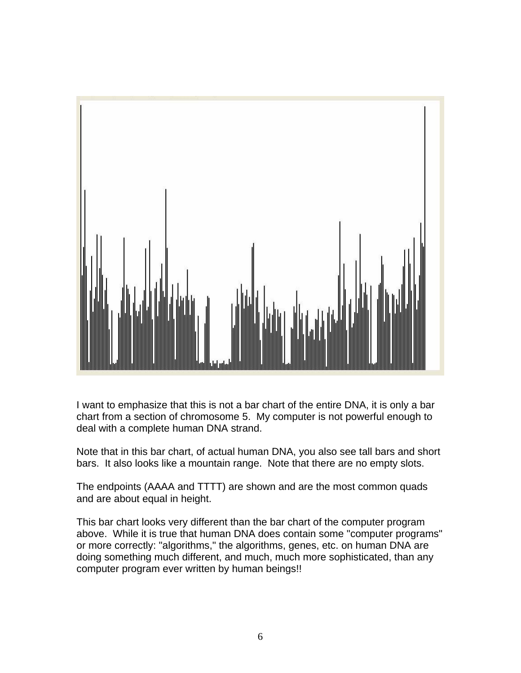

I want to emphasize that this is not a bar chart of the entire DNA, it is only a bar chart from a section of chromosome 5. My computer is not powerful enough to deal with a complete human DNA strand.

Note that in this bar chart, of actual human DNA, you also see tall bars and short bars. It also looks like a mountain range. Note that there are no empty slots.

The endpoints (AAAA and TTTT) are shown and are the most common quads and are about equal in height.

This bar chart looks very different than the bar chart of the computer program above. While it is true that human DNA does contain some "computer programs" or more correctly: "algorithms," the algorithms, genes, etc. on human DNA are doing something much different, and much, much more sophisticated, than any computer program ever written by human beings!!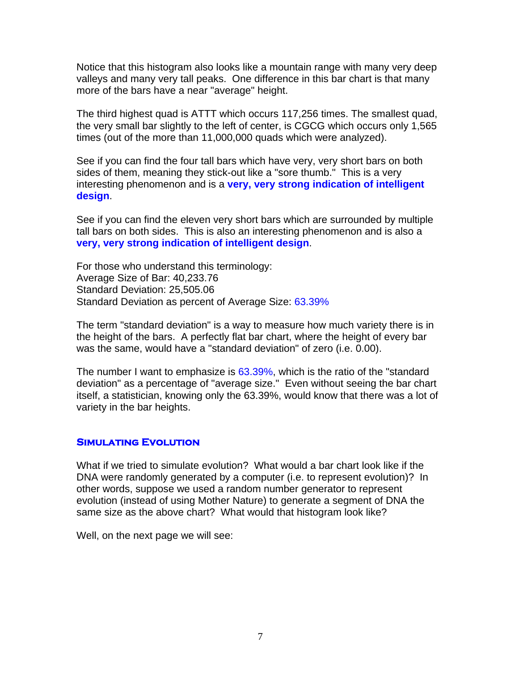Notice that this histogram also looks like a mountain range with many very deep valleys and many very tall peaks. One difference in this bar chart is that many more of the bars have a near "average" height.

The third highest quad is ATTT which occurs 117,256 times. The smallest quad, the very small bar slightly to the left of center, is CGCG which occurs only 1,565 times (out of the more than 11,000,000 quads which were analyzed).

See if you can find the four tall bars which have very, very short bars on both sides of them, meaning they stick-out like a "sore thumb." This is a very interesting phenomenon and is a **very, very strong indication of intelligent design**.

See if you can find the eleven very short bars which are surrounded by multiple tall bars on both sides. This is also an interesting phenomenon and is also a **very, very strong indication of intelligent design**.

For those who understand this terminology: Average Size of Bar: 40,233.76 Standard Deviation: 25,505.06 Standard Deviation as percent of Average Size: 63.39%

The term "standard deviation" is a way to measure how much variety there is in the height of the bars. A perfectly flat bar chart, where the height of every bar was the same, would have a "standard deviation" of zero (i.e. 0.00).

The number I want to emphasize is 63.39%, which is the ratio of the "standard deviation" as a percentage of "average size." Even without seeing the bar chart itself, a statistician, knowing only the 63.39%, would know that there was a lot of variety in the bar heights.

#### **Simulating Evolution**

What if we tried to simulate evolution? What would a bar chart look like if the DNA were randomly generated by a computer (i.e. to represent evolution)? In other words, suppose we used a random number generator to represent evolution (instead of using Mother Nature) to generate a segment of DNA the same size as the above chart? What would that histogram look like?

Well, on the next page we will see: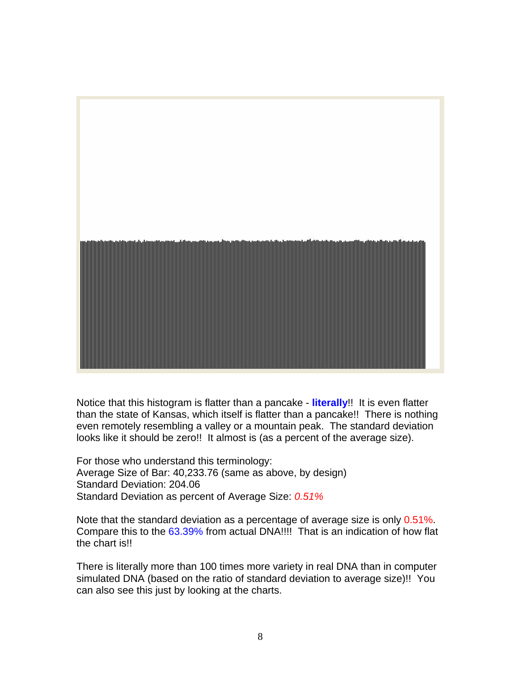

Notice that this histogram is flatter than a pancake - **literally**!! It is even flatter than the state of Kansas, which itself is flatter than a pancake!! There is nothing even remotely resembling a valley or a mountain peak. The standard deviation looks like it should be zero!! It almost is (as a percent of the average size).

For those who understand this terminology: Average Size of Bar: 40,233.76 (same as above, by design) Standard Deviation: 204.06 Standard Deviation as percent of Average Size: *0.51%*

Note that the standard deviation as a percentage of average size is only 0.51%. Compare this to the 63.39% from actual DNA!!!! That is an indication of how flat the chart is!!

There is literally more than 100 times more variety in real DNA than in computer simulated DNA (based on the ratio of standard deviation to average size)!! You can also see this just by looking at the charts.